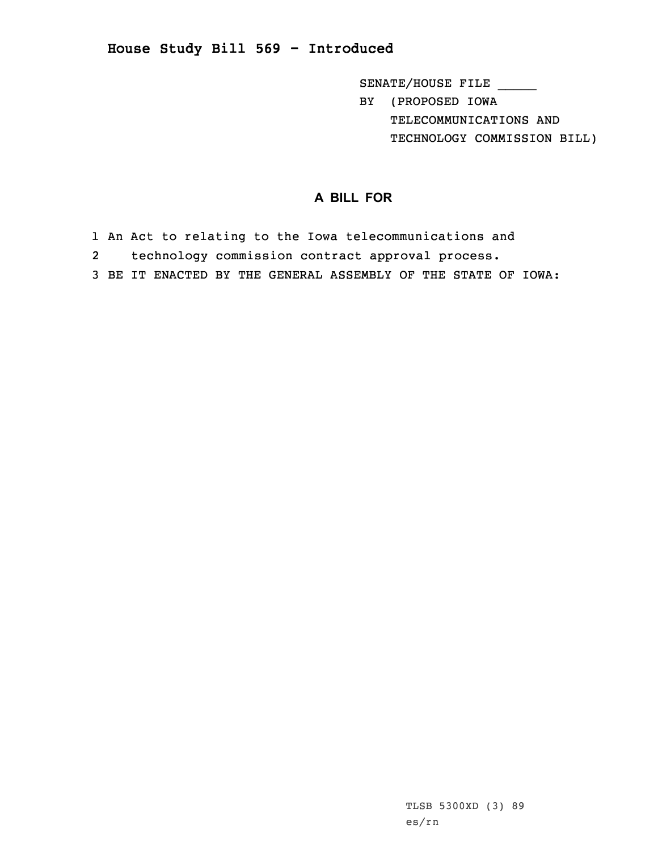**House Study Bill 569 - Introduced**

SENATE/HOUSE FILE \_\_\_\_\_ BY (PROPOSED IOWA TELECOMMUNICATIONS AND TECHNOLOGY COMMISSION BILL)

## **A BILL FOR**

- 1 An Act to relating to the Iowa telecommunications and
- 2technology commission contract approval process.
- 3 BE IT ENACTED BY THE GENERAL ASSEMBLY OF THE STATE OF IOWA: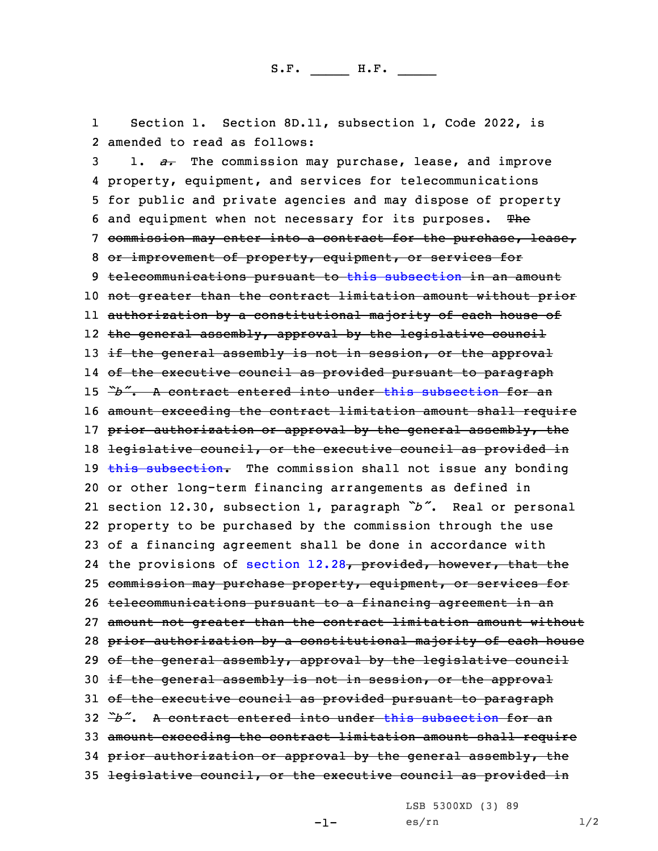1 Section 1. Section 8D.11, subsection 1, Code 2022, is 2 amended to read as follows:

 1. *a.* The commission may purchase, lease, and improve property, equipment, and services for telecommunications for public and private agencies and may dispose of property 6 and equipment when not necessary for its purposes. The commission may enter into <sup>a</sup> contract for the purchase, lease, or improvement of property, equipment, or services for telecommunications pursuant to this [subsection](https://www.legis.iowa.gov/docs/code/2022/8D.11.pdf) in an amount not greater than the contract limitation amount without prior authorization by <sup>a</sup> constitutional majority of each house of the general assembly, approval by the legislative council 13 if the general assembly is not in session, or the approval of the executive council as provided pursuant to paragraph *"b"*. A contract entered into under this [subsection](https://www.legis.iowa.gov/docs/code/2022/8D.11.pdf) for an amount exceeding the contract limitation amount shall require 17 prior authorization or approval by the general assembly, the legislative council, or the executive council as provided in  $\frac{1}{2}$  this [subsection](https://www.legis.iowa.gov/docs/code/2022/8D.11.pdf). The commission shall not issue any bonding or other long-term financing arrangements as defined in section 12.30, subsection 1, paragraph *"b"*. Real or personal property to be purchased by the commission through the use of <sup>a</sup> financing agreement shall be done in accordance with 24 the provisions of [section](https://www.legis.iowa.gov/docs/code/2022/12.28.pdf) 12.28, provided, however, that the commission may purchase property, equipment, or services for telecommunications pursuant to <sup>a</sup> financing agreement in an amount not greater than the contract limitation amount without prior authorization by <sup>a</sup> constitutional majority of each house 29 of the general assembly, approval by the legislative council 30 if the general assembly is not in session, or the approval 31 of the executive council as provided pursuant to paragraph *"b"*. A contract entered into under this [subsection](https://www.legis.iowa.gov/docs/code/2022/8D.11.pdf) for an amount exceeding the contract limitation amount shall require 34 prior authorization or approval by the general assembly, the legislative council, or the executive council as provided in

LSB 5300XD (3) 89

-1-